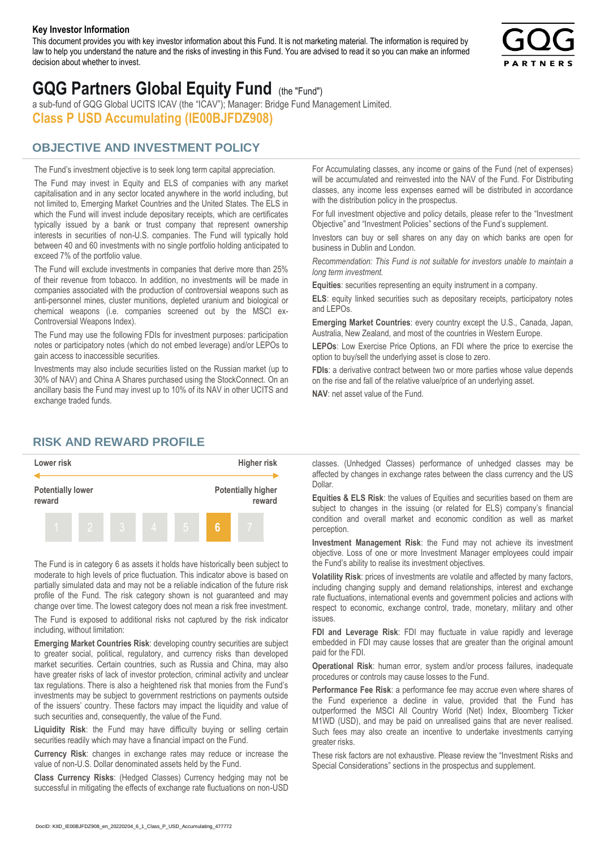#### **Key Investor Information**

This document provides you with key investor information about this Fund. It is not marketing material. The information is required by law to help you understand the nature and the risks of investing in this Fund. You are advised to read it so you can make an informed decision about whether to invest.



# **GQG Partners Global Equity Fund** (the "Fund")

a sub-fund of GQG Global UCITS ICAV (the "ICAV"); Manager: Bridge Fund Management Limited. **Class P USD Accumulating (IE00BJFDZ908)**

# **OBJECTIVE AND INVESTMENT POLICY**

The Fund's investment objective is to seek long term capital appreciation. The Fund may invest in Equity and ELS of companies with any market capitalisation and in any sector located anywhere in the world including, but not limited to, Emerging Market Countries and the United States. The ELS in which the Fund will invest include depositary receipts, which are certificates typically issued by a bank or trust company that represent ownership interests in securities of non-U.S. companies. The Fund will typically hold between 40 and 60 investments with no single portfolio holding anticipated to exceed 7% of the portfolio value.

The Fund will exclude investments in companies that derive more than 25% of their revenue from tobacco. In addition, no investments will be made in companies associated with the production of controversial weapons such as anti-personnel mines, cluster munitions, depleted uranium and biological or chemical weapons (i.e. companies screened out by the MSCI ex-Controversial Weapons Index).

The Fund may use the following FDIs for investment purposes: participation notes or participatory notes (which do not embed leverage) and/or LEPOs to gain access to inaccessible securities.

Investments may also include securities listed on the Russian market (up to 30% of NAV) and China A Shares purchased using the StockConnect. On an ancillary basis the Fund may invest up to 10% of its NAV in other UCITS and exchange traded funds.

For Accumulating classes, any income or gains of the Fund (net of expenses) will be accumulated and reinvested into the NAV of the Fund. For Distributing classes, any income less expenses earned will be distributed in accordance with the distribution policy in the prospectus.

For full investment objective and policy details, please refer to the "Investment Objective" and "Investment Policies" sections of the Fund's supplement.

Investors can buy or sell shares on any day on which banks are open for business in Dublin and London.

*Recommendation: This Fund is not suitable for investors unable to maintain a long term investment.*

**Equities**: securities representing an equity instrument in a company.

**ELS**: equity linked securities such as depositary receipts, participatory notes and LEPOs.

**Emerging Market Countries**: every country except the U.S., Canada, Japan, Australia, New Zealand, and most of the countries in Western Europe.

**LEPOs**: Low Exercise Price Options, an FDI where the price to exercise the option to buy/sell the underlying asset is close to zero.

**FDIs**: a derivative contract between two or more parties whose value depends on the rise and fall of the relative value/price of an underlying asset.

**NAV**: net asset value of the Fund.

## **RISK AND REWARD PROFILE**



The Fund is in category 6 as assets it holds have historically been subject to moderate to high levels of price fluctuation. This indicator above is based on partially simulated data and may not be a reliable indication of the future risk profile of the Fund. The risk category shown is not guaranteed and may change over time. The lowest category does not mean a risk free investment.

The Fund is exposed to additional risks not captured by the risk indicator including, without limitation:

**Emerging Market Countries Risk**: developing country securities are subject to greater social, political, regulatory, and currency risks than developed market securities. Certain countries, such as Russia and China, may also have greater risks of lack of investor protection, criminal activity and unclear tax regulations. There is also a heightened risk that monies from the Fund's investments may be subject to government restrictions on payments outside of the issuers' country. These factors may impact the liquidity and value of such securities and, consequently, the value of the Fund.

**Liquidity Risk**: the Fund may have difficulty buying or selling certain securities readily which may have a financial impact on the Fund.

**Currency Risk**: changes in exchange rates may reduce or increase the value of non-U.S. Dollar denominated assets held by the Fund.

**Class Currency Risks**: (Hedged Classes) Currency hedging may not be successful in mitigating the effects of exchange rate fluctuations on non-USD classes. (Unhedged Classes) performance of unhedged classes may be affected by changes in exchange rates between the class currency and the US Dollar.

**Equities & ELS Risk**: the values of Equities and securities based on them are subject to changes in the issuing (or related for ELS) company's financial condition and overall market and economic condition as well as market perception.

**Investment Management Risk**: the Fund may not achieve its investment objective. Loss of one or more Investment Manager employees could impair the Fund's ability to realise its investment objectives.

**Volatility Risk**: prices of investments are volatile and affected by many factors, including changing supply and demand relationships, interest and exchange rate fluctuations, international events and government policies and actions with respect to economic, exchange control, trade, monetary, military and other issues.

**FDI and Leverage Risk**: FDI may fluctuate in value rapidly and leverage embedded in FDI may cause losses that are greater than the original amount paid for the FDI.

**Operational Risk**: human error, system and/or process failures, inadequate procedures or controls may cause losses to the Fund.

**Performance Fee Risk**: a performance fee may accrue even where shares of the Fund experience a decline in value, provided that the Fund has outperformed the MSCI All Country World (Net) Index, Bloomberg Ticker M1WD (USD), and may be paid on unrealised gains that are never realised. Such fees may also create an incentive to undertake investments carrying greater risks.

These risk factors are not exhaustive. Please review the "Investment Risks and Special Considerations" sections in the prospectus and supplement.